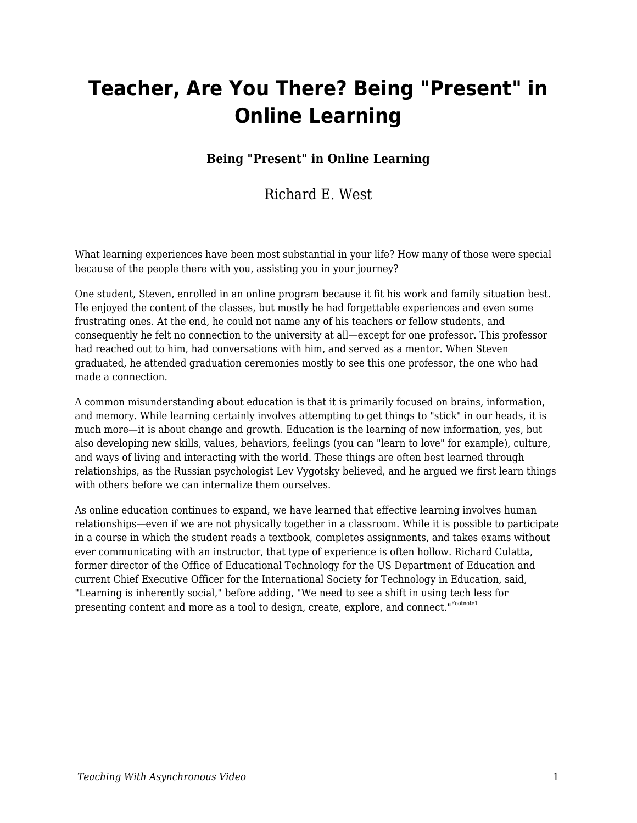# **Teacher, Are You There? Being "Present" in Online Learning**

#### **Being "Present" in Online Learning**

#### Richard E. West

What learning experiences have been most substantial in your life? How many of those were special because of the people there with you, assisting you in your journey?

One student, Steven, enrolled in an online program because it fit his work and family situation best. He enjoyed the content of the classes, but mostly he had forgettable experiences and even some frustrating ones. At the end, he could not name any of his teachers or fellow students, and consequently he felt no connection to the university at all—except for one professor. This professor had reached out to him, had conversations with him, and served as a mentor. When Steven graduated, he attended graduation ceremonies mostly to see this one professor, the one who had made a connection.

A common misunderstanding about education is that it is primarily focused on brains, information, and memory. While learning certainly involves attempting to get things to "stick" in our heads, it is much more—it is about change and growth. Education is the learning of new information, yes, but also developing new skills, values, behaviors, feelings (you can "learn to love" for example), culture, and ways of living and interacting with the world. These things are often best learned through relationships, as the Russian psychologist Lev Vygotsky believed, and he argued we first learn things with others before we can internalize them ourselves.

As online education continues to expand, we have learned that effective learning involves human relationships—even if we are not physically together in a classroom. While it is possible to participate in a course in which the student reads a textbook, completes assignments, and takes exams without ever communicating with an instructor, that type of experience is often hollow. Richard Culatta, former director of the Office of Educational Technology for the US Department of Education and current Chief Executive Officer for the International Society for Technology in Education, said, "Learning is inherently social," before adding, "We need to see a shift in using tech less for presenting content and more as a tool to design, create, explore, and connect."Footnote1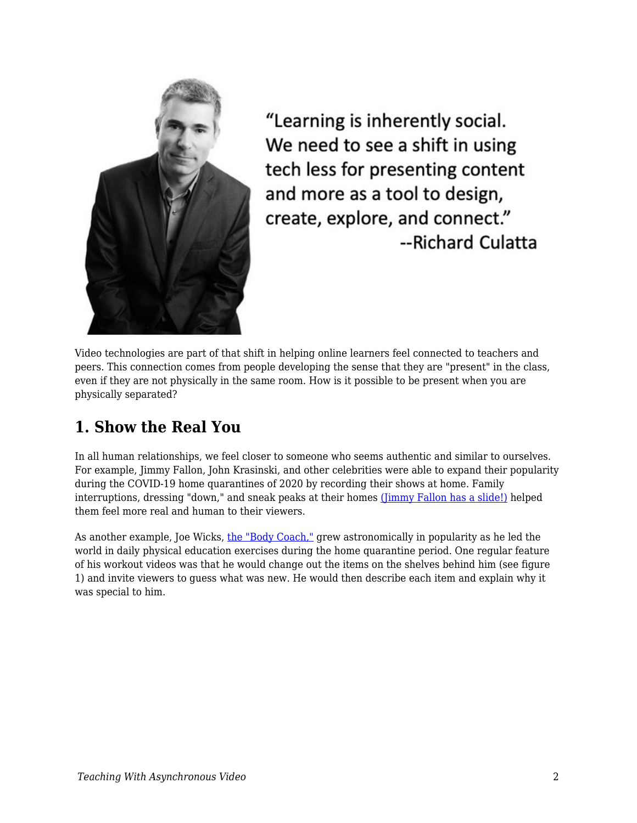

"Learning is inherently social. We need to see a shift in using tech less for presenting content and more as a tool to design, create, explore, and connect." --Richard Culatta

Video technologies are part of that shift in helping online learners feel connected to teachers and peers. This connection comes from people developing the sense that they are "present" in the class, even if they are not physically in the same room. How is it possible to be present when you are physically separated?

#### **1. Show the Real You**

In all human relationships, we feel closer to someone who seems authentic and similar to ourselves. For example, Jimmy Fallon, John Krasinski, and other celebrities were able to expand their popularity during the COVID-19 home quarantines of 2020 by recording their shows at home. Family interruptions, dressing "down," and sneak peaks at their homes [\(Jimmy Fallon has a slide!\)](https://www.today.com/popculture/jimmy-fallon-has-slide-his-house-we-have-lot-questions-t176525) helped them feel more real and human to their viewers.

As another example, Joe Wicks, [the "Body Coach,"](https://www.youtube.com/channel/UCAxW1XT0iEJo0TYlRfn6rYQ) grew astronomically in popularity as he led the world in daily physical education exercises during the home quarantine period. One regular feature of his workout videos was that he would change out the items on the shelves behind him (see figure 1) and invite viewers to guess what was new. He would then describe each item and explain why it was special to him.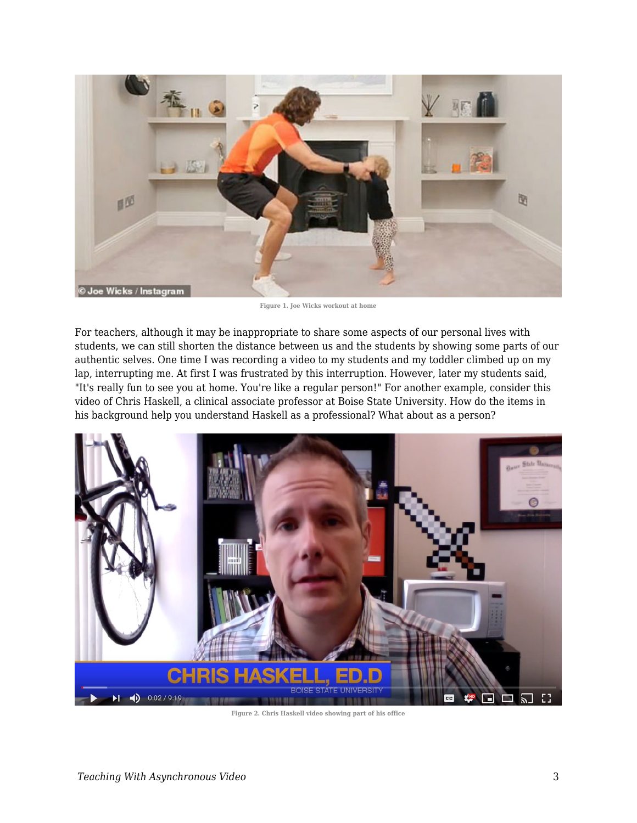

**Figure 1. Joe Wicks workout at home**

For teachers, although it may be inappropriate to share some aspects of our personal lives with students, we can still shorten the distance between us and the students by showing some parts of our authentic selves. One time I was recording a video to my students and my toddler climbed up on my lap, interrupting me. At first I was frustrated by this interruption. However, later my students said, "It's really fun to see you at home. You're like a regular person!" For another example, consider this video of Chris Haskell, a clinical associate professor at Boise State University. How do the items in his background help you understand Haskell as a professional? What about as a person?



**Figure 2. Chris Haskell video showing part of his office**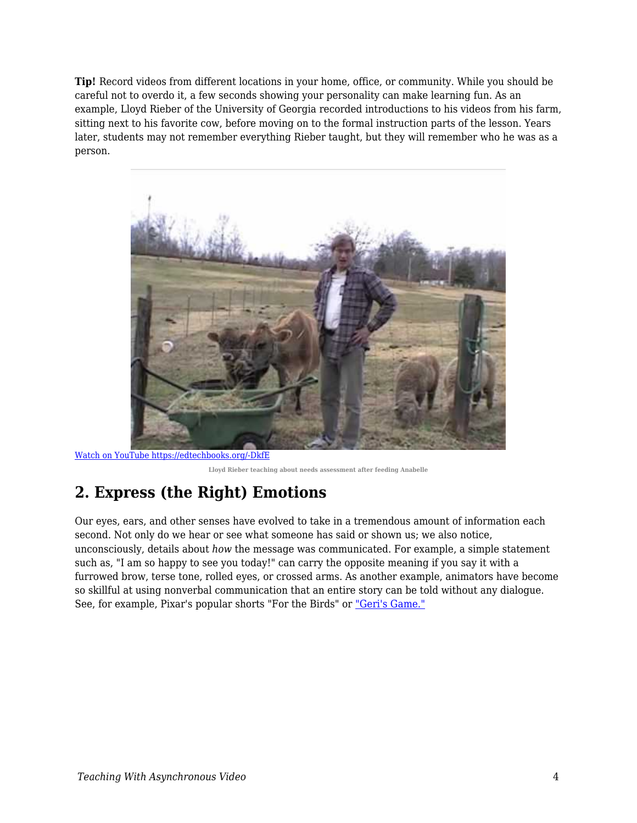**Tip!** Record videos from different locations in your home, office, or community. While you should be careful not to overdo it, a few seconds showing your personality can make learning fun. As an example, Lloyd Rieber of the University of Georgia recorded introductions to his videos from his farm, sitting next to his favorite cow, before moving on to the formal instruction parts of the lesson. Years later, students may not remember everything Rieber taught, but they will remember who he was as a person.



[Watch on YouTube https://edtechbooks.org/-DkfE](https://www.youtube.com/embed/X93BVC-1oew?autoplay=1&rel=0&showinfo=0&modestbranding=1)

**Lloyd Rieber teaching about needs assessment after feeding Anabelle**

### **2. Express (the Right) Emotions**

Our eyes, ears, and other senses have evolved to take in a tremendous amount of information each second. Not only do we hear or see what someone has said or shown us; we also notice, unconsciously, details about *how* the message was communicated. For example, a simple statement such as, "I am so happy to see you today!" can carry the opposite meaning if you say it with a furrowed brow, terse tone, rolled eyes, or crossed arms. As another example, animators have become so skillful at using nonverbal communication that an entire story can be told without any dialogue. See, for example, Pixar's popular shorts "For the Birds" or ["Geri's Game."](https://www.youtube.com/watch?v=9IYRC7g2ICg)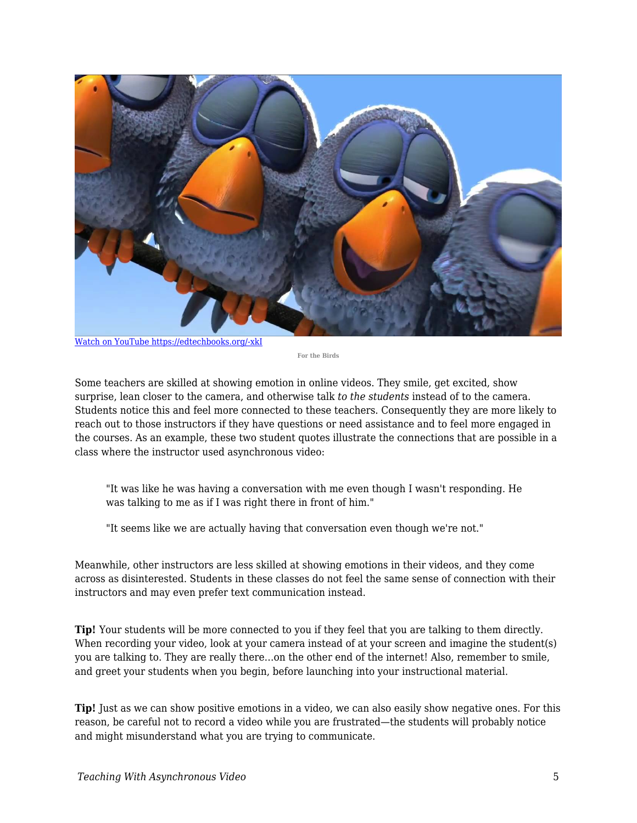

[Watch on YouTube https://edtechbooks.org/-xkI](https://www.youtube.com/embed/nYTrIcn4rjg?autoplay=1&rel=0&showinfo=0&modestbranding=1)

**For the Birds**

Some teachers are skilled at showing emotion in online videos. They smile, get excited, show surprise, lean closer to the camera, and otherwise talk *to the students* instead of to the camera. Students notice this and feel more connected to these teachers. Consequently they are more likely to reach out to those instructors if they have questions or need assistance and to feel more engaged in the courses. As an example, these two student quotes illustrate the connections that are possible in a class where the instructor used asynchronous video:

"It was like he was having a conversation with me even though I wasn't responding. He was talking to me as if I was right there in front of him."

"It seems like we are actually having that conversation even though we're not."

Meanwhile, other instructors are less skilled at showing emotions in their videos, and they come across as disinterested. Students in these classes do not feel the same sense of connection with their instructors and may even prefer text communication instead.

**Tip!** Your students will be more connected to you if they feel that you are talking to them directly. When recording your video, look at your camera instead of at your screen and imagine the student(s) you are talking to. They are really there…on the other end of the internet! Also, remember to smile, and greet your students when you begin, before launching into your instructional material.

**Tip!** Just as we can show positive emotions in a video, we can also easily show negative ones. For this reason, be careful not to record a video while you are frustrated—the students will probably notice and might misunderstand what you are trying to communicate.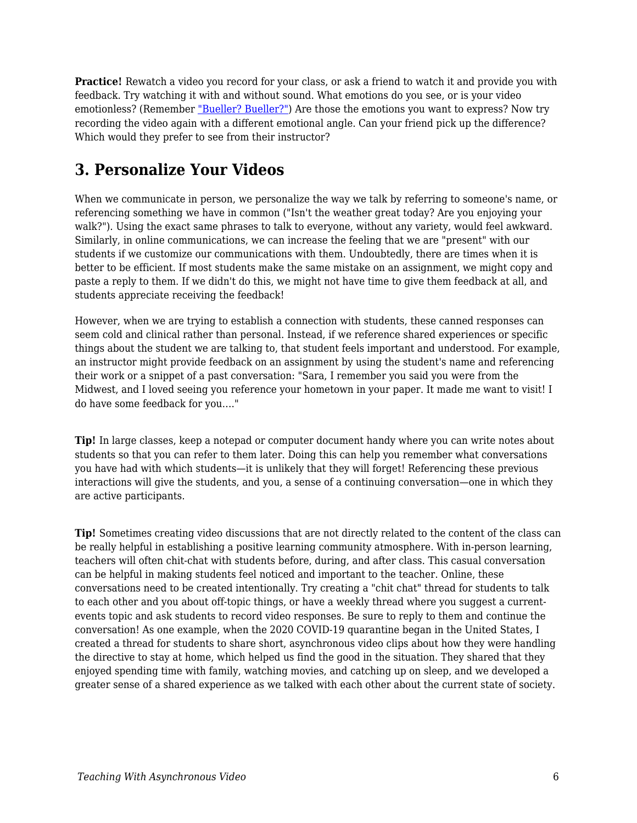**Practice!** Rewatch a video you record for your class, or ask a friend to watch it and provide you with feedback. Try watching it with and without sound. What emotions do you see, or is your video emotionless? (Remember ["Bueller? Bueller?"](https://www.youtube.com/watch?v=KS6f1MKpLGM&feature=youtu.be&t=15)) Are those the emotions you want to express? Now try recording the video again with a different emotional angle. Can your friend pick up the difference? Which would they prefer to see from their instructor?

### **3. Personalize Your Videos**

When we communicate in person, we personalize the way we talk by referring to someone's name, or referencing something we have in common ("Isn't the weather great today? Are you enjoying your walk?"). Using the exact same phrases to talk to everyone, without any variety, would feel awkward. Similarly, in online communications, we can increase the feeling that we are "present" with our students if we customize our communications with them. Undoubtedly, there are times when it is better to be efficient. If most students make the same mistake on an assignment, we might copy and paste a reply to them. If we didn't do this, we might not have time to give them feedback at all, and students appreciate receiving the feedback!

However, when we are trying to establish a connection with students, these canned responses can seem cold and clinical rather than personal. Instead, if we reference shared experiences or specific things about the student we are talking to, that student feels important and understood. For example, an instructor might provide feedback on an assignment by using the student's name and referencing their work or a snippet of a past conversation: "Sara, I remember you said you were from the Midwest, and I loved seeing you reference your hometown in your paper. It made me want to visit! I do have some feedback for you…."

**Tip!** In large classes, keep a notepad or computer document handy where you can write notes about students so that you can refer to them later. Doing this can help you remember what conversations you have had with which students—it is unlikely that they will forget! Referencing these previous interactions will give the students, and you, a sense of a continuing conversation—one in which they are active participants.

**Tip!** Sometimes creating video discussions that are not directly related to the content of the class can be really helpful in establishing a positive learning community atmosphere. With in-person learning, teachers will often chit-chat with students before, during, and after class. This casual conversation can be helpful in making students feel noticed and important to the teacher. Online, these conversations need to be created intentionally. Try creating a "chit chat" thread for students to talk to each other and you about off-topic things, or have a weekly thread where you suggest a currentevents topic and ask students to record video responses. Be sure to reply to them and continue the conversation! As one example, when the 2020 COVID-19 quarantine began in the United States, I created a thread for students to share short, asynchronous video clips about how they were handling the directive to stay at home, which helped us find the good in the situation. They shared that they enjoyed spending time with family, watching movies, and catching up on sleep, and we developed a greater sense of a shared experience as we talked with each other about the current state of society.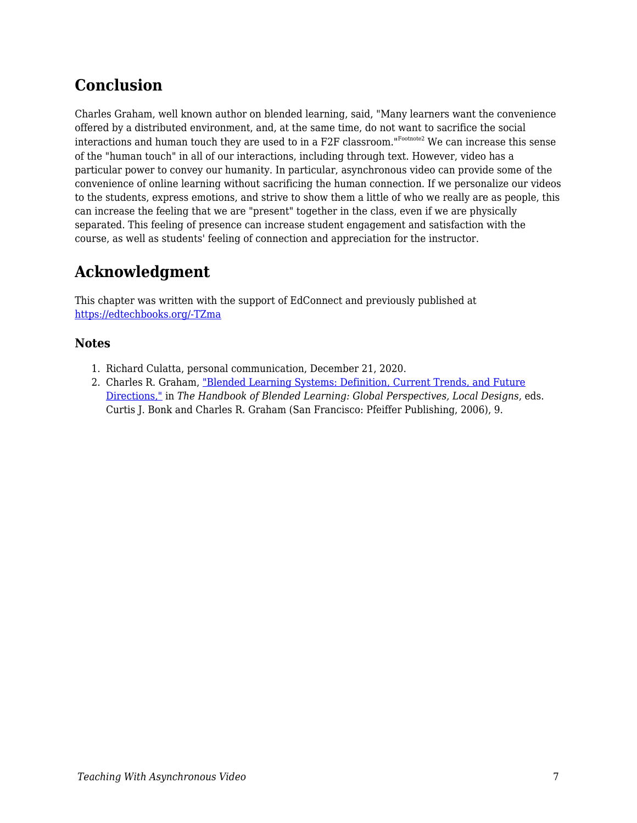### **Conclusion**

Charles Graham, well known author on blended learning, said, "Many learners want the convenience offered by a distributed environment, and, at the same time, do not want to sacrifice the social interactions and human touch they are used to in a F2F classroom." $^{\text{\tiny{IFoothote2}}}$  We can increase this sense of the "human touch" in all of our interactions, including through text. However, video has a particular power to convey our humanity. In particular, asynchronous video can provide some of the convenience of online learning without sacrificing the human connection. If we personalize our videos to the students, express emotions, and strive to show them a little of who we really are as people, this can increase the feeling that we are "present" together in the class, even if we are physically separated. This feeling of presence can increase student engagement and satisfaction with the course, as well as students' feeling of connection and appreciation for the instructor.

## **Acknowledgment**

This chapter was written with the support of EdConnect and previously published at [https://edtechbooks.org/-TZma](https://er.educause.edu/blogs/2021/2/teacher-are-you-there-being-present-in-online-learning)

#### **Notes**

- 1. Richard Culatta, personal communication, December 21, 2020.
- 2. Charles R. Graham, ["Blended Learning Systems: Definition, Current Trends, and Future](https://www.wiley.com/en-us/The+Handbook+of+Blended+Learning%3A+Global+Perspectives%2C+Local+Designs-p-9780787977580) [Directions,"](https://www.wiley.com/en-us/The+Handbook+of+Blended+Learning%3A+Global+Perspectives%2C+Local+Designs-p-9780787977580) in *The Handbook of Blended Learning: Global Perspectives, Local Designs*, eds. Curtis J. Bonk and Charles R. Graham (San Francisco: Pfeiffer Publishing, 2006), 9.